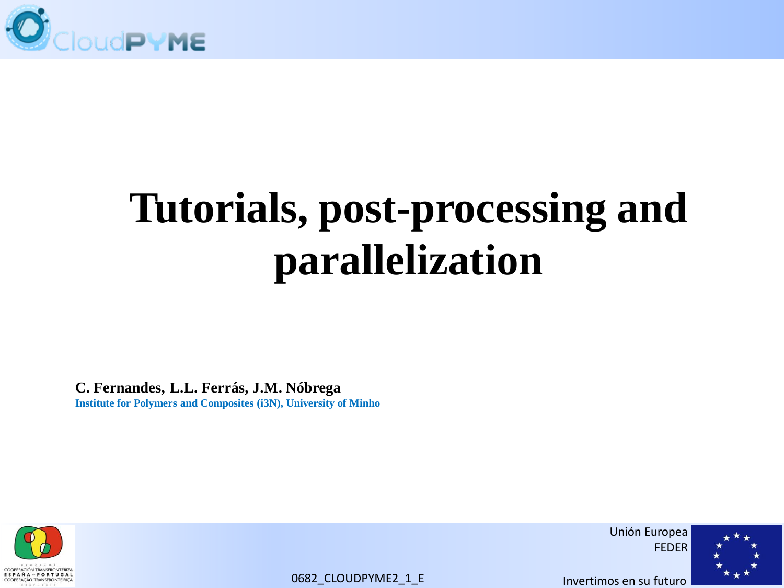

# **Tutorials, post-processing and parallelization**

**C. Fernandes, L.L. Ferrás, J.M. Nóbrega Institute for Polymers and Composites (i3N), University of Minho**



Unión Europea FEDER

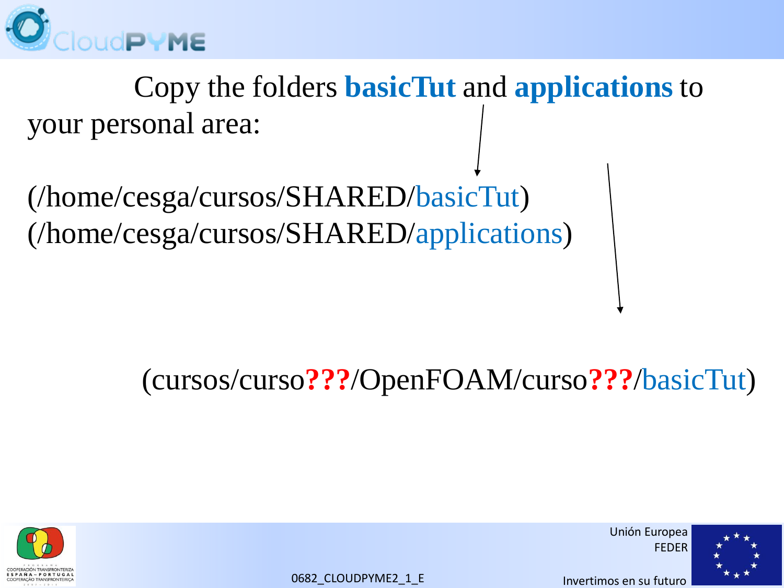

 Copy the folders **basicTut** and **applications** to your personal area:

(/home/cesga/cursos/SHARED/basicTut) (/home/cesga/cursos/SHARED/applications)

### (cursos/curso**???**/OpenFOAM/curso**???**/basicTut)



Unión Europea FEDER

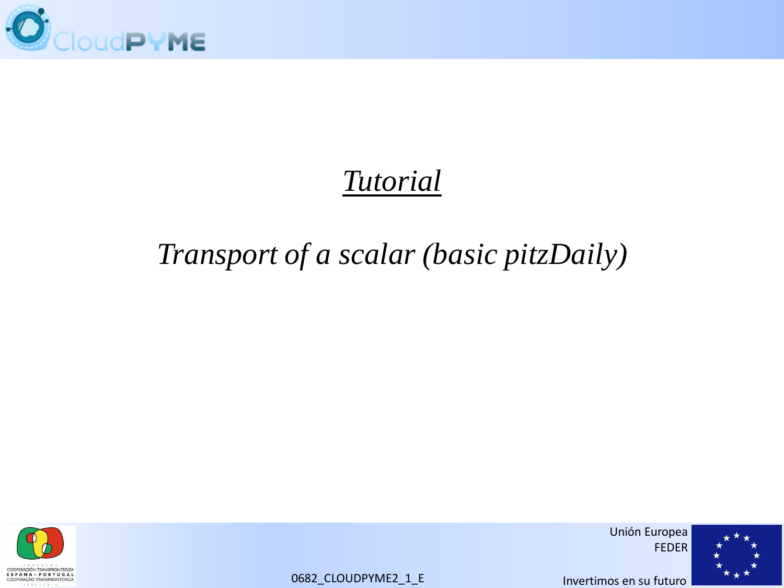

### *Tutorial*

### *Transport of a scalar (basic pitzDaily)*



Unión Europea FEDER

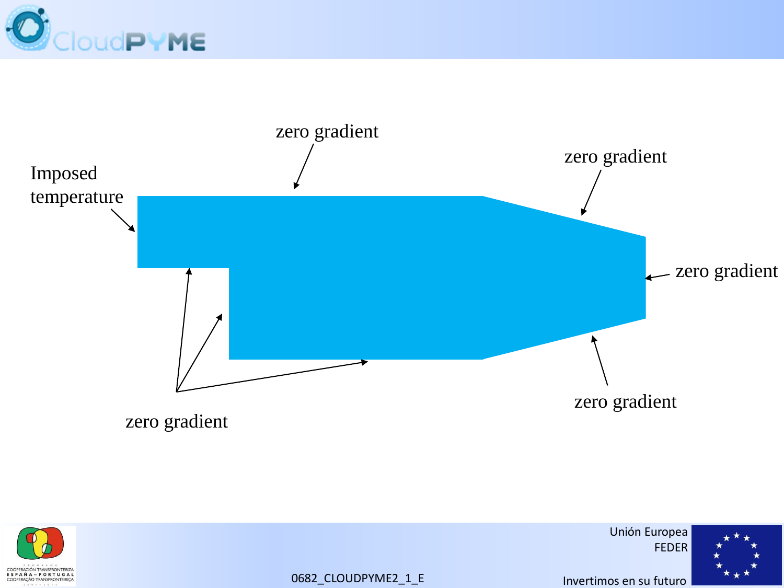





Unión Europea FEDER

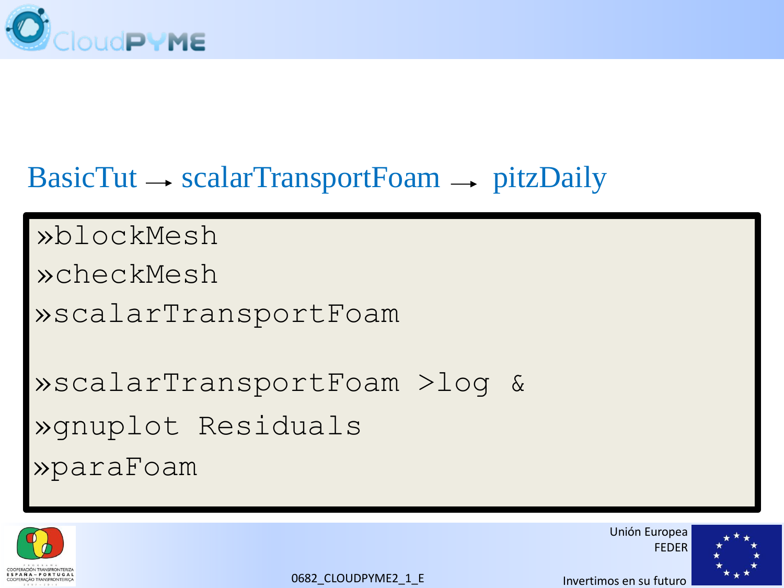

### $BasicTut \rightarrow scalarTransportFoam \rightarrow pitzDaily$

»blockMesh

»checkMesh

»scalarTransportFoam

»scalarTransportFoam >log & »paraFoam »gnuplot Residuals



Unión Europea FEDER

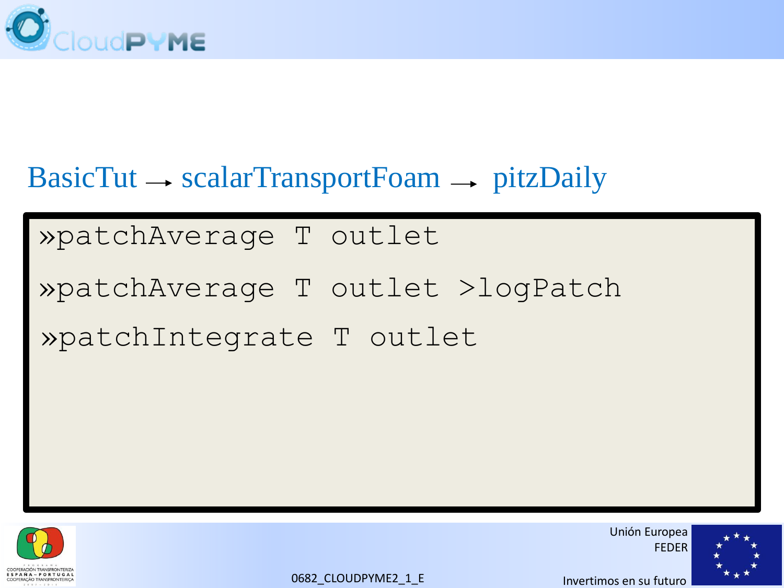

### $BasicTut \rightarrow scalarTransportFoam \rightarrow pitzDaily$

#### »patchAverage T outlet

## »patchAverage T outlet >logPatch »patchIntegrate T outlet



Unión Europea FEDER

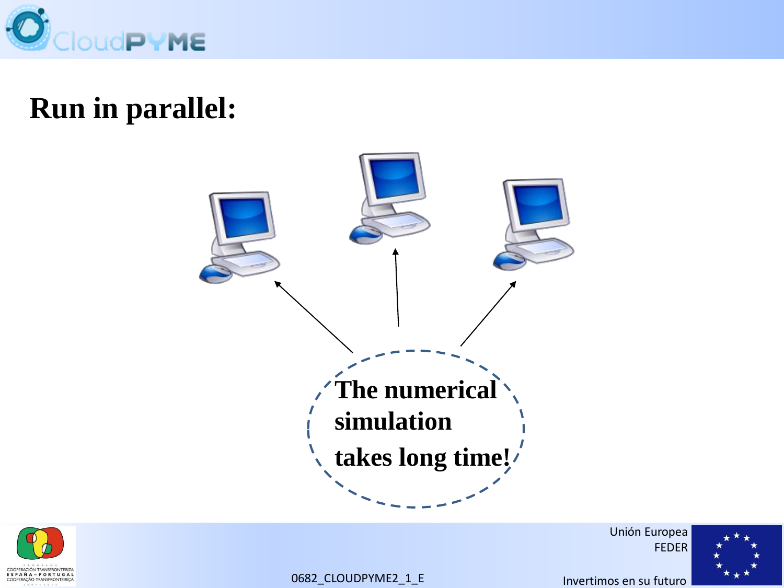

### **Run in parallel:**





Unión Europea FEDER

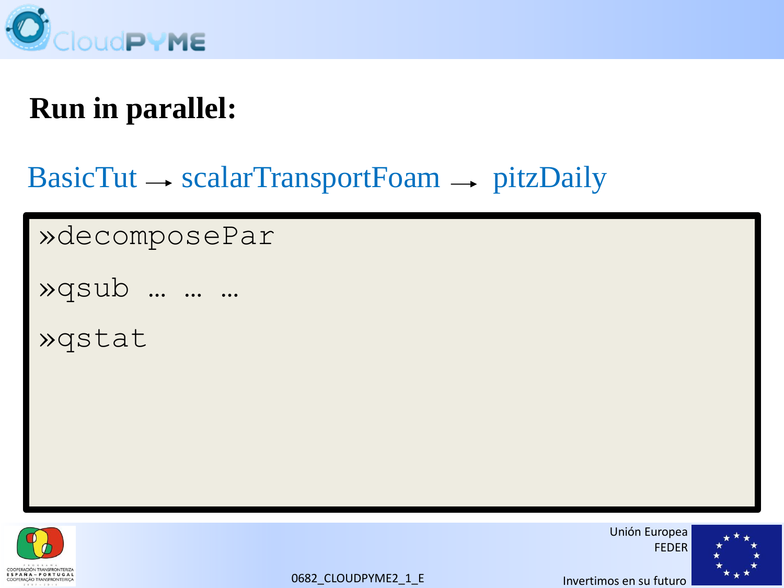

### **Run in parallel:**

### $BasicTut \rightarrow scalarTransportFoam \rightarrow pitzDaily$

»decomposePar

»qsub … … …

»qstat



Unión Europea FEDER

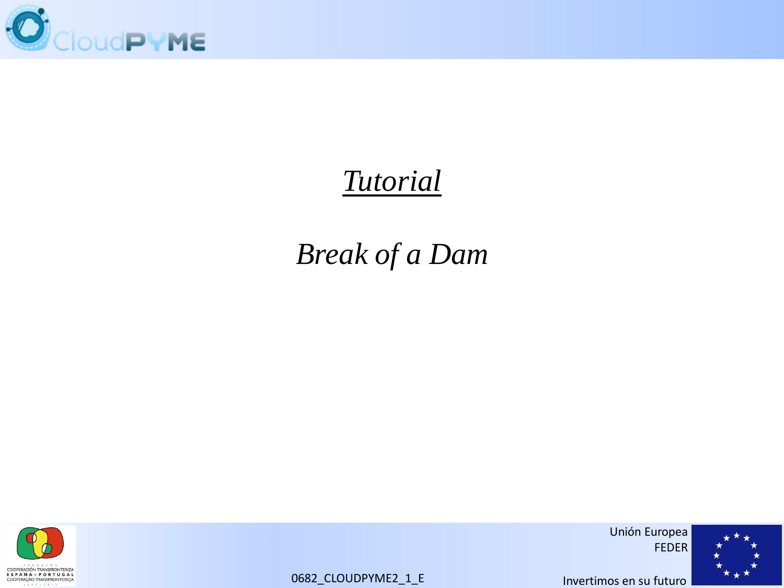

### *Tutorial*

### *Break of a Dam*



Unión Europea FEDER

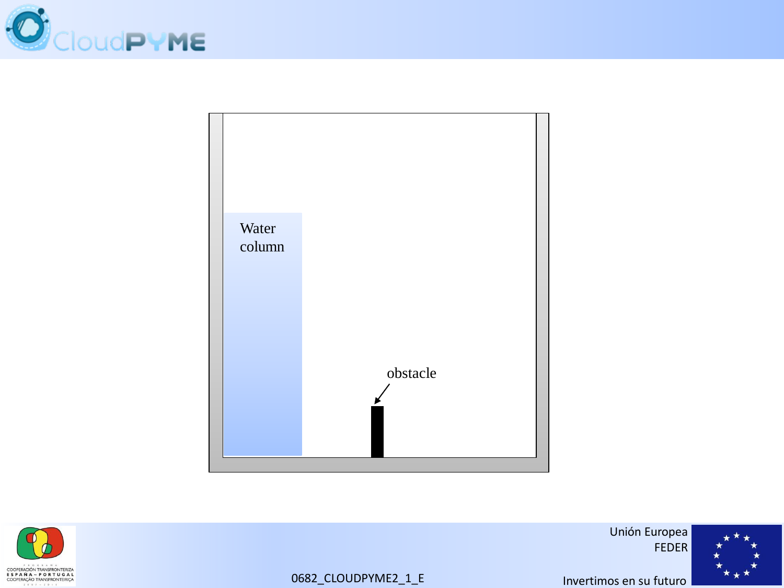





Unión Europea FEDER

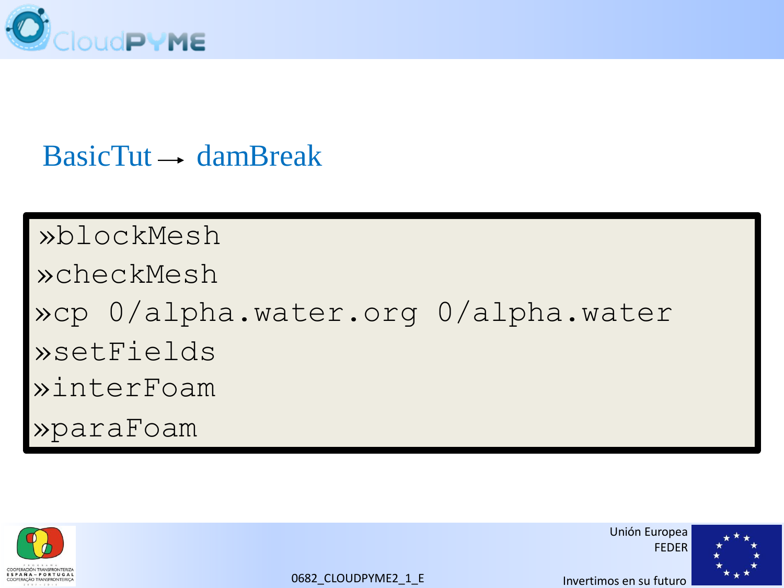

### $BasicTut \rightarrow damBreak$

»blockMesh »checkMesh »cp 0/alpha.water.org 0/alpha.water »paraFoam »setFields »interFoam



Unión Europea FEDER